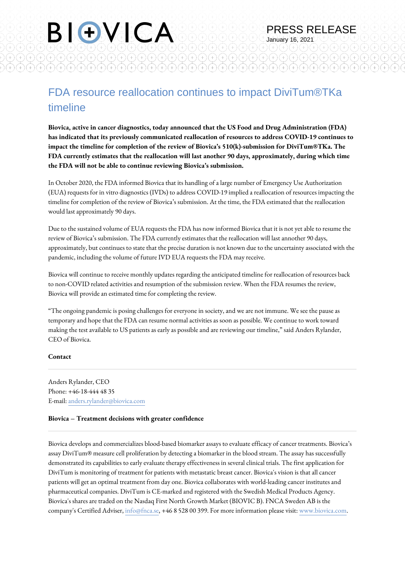F)

 $A(A)A)A(A)$ 

 $\left(\begin{matrix}+\\+ \end{matrix}\right)\left(\begin{matrix}+\\+ \end{matrix}\right)\left(\begin{matrix}+\\+ \end{matrix}\right)\left(\begin{matrix}+\\+ \end{matrix}\right)\left(\begin{matrix}+\\+ \end{matrix}\right)$ 

PRESS RELEASE

(F)

 $(+)$ 

January 16, 2021

 $\widehat{H}(\widehat{H})(\widehat{H})(\widehat{H})(\widehat{H})$ 

 $(+)(+)(+)(+)(+)$ 

 $^{+)}$ 

**Biovica, active in cancer diagnostics, today announced that the US Food and Drug Administration (FDA) has indicated that its previously communicated reallocation of resources to address COVID-19 continues to impact the timeline for completion of the review of Biovica's 510(k)-submission for DiviTum®TKa. The FDA currently estimates that the reallocation will last another 90 days, approximately, during which time the FDA will not be able to continue reviewing Biovica's submission.**

In October 2020, the FDA informed Biovica that its handling of a large number of Emergency Use Authorization (EUA) requests for in vitro diagnostics (IVDs) to address COVID‐19 implied a reallocation of resources impacting the timeline for completion of the review of Biovica's submission. At the time, the FDA estimated that the reallocation would last approximately 90 days.

Due to the sustained volume of EUA requests the FDA has now informed Biovica that it is not yet able to resume the review of Biovica's submission. The FDA currently estimates that the reallocation will last annother 90 days, approximately, but continues to state that the precise duration is not known due to the uncertainty associated with the pandemic, including the volume of future IVD EUA requests the FDA may receive.

Biovica will continue to receive monthly updates regarding the anticipated timeline for reallocation of resources back to non‐COVID related activities and resumption of the submission review. When the FDA resumes the review, Biovica will provide an estimated time for completing the review.

"The ongoing pandemic is posing challenges for everyone in society, and we are not immune. We see the pause as temporary and hope that the FDA can resume normal activities as soon as possible. We continue to work toward making the test available to US patients as early as possible and are reviewing our timeline," said Anders Rylander, CEO of Biovica.

## **Contact**

Anders Rylander, CEO Phone: +46-18-444 48 35 E-mail: anders.rylander@biovica.com

BIOVICA

G

 $(+)(+)(+)(+)(+)(+)(+)(+)$ 

 $(+)(+)$ 

 $(A)A)$ 

## **Biovica – Treatment decisions with greater confidence**

Biovica develops and commercializes blood-based biomarker assays to evaluate efficacy of cancer treatments. Biovica's assay DiviTum® measure cell proliferation by detecting a biomarker in the blood stream. The assay has successfully demonstrated its capabilities to early evaluate therapy effectiveness in several clinical trials. The first application for DiviTum is monitoring of treatment for patients with metastatic breast cancer. Biovica's vision is that all cancer patients will get an optimal treatment from day one. Biovica collaborates with world-leading cancer institutes and pharmaceutical companies. DiviTum is CE-marked and registered with the Swedish Medical Products Agency. Biovica's shares are traded on the Nasdaq First North Growth Market (BIOVIC B). FNCA Sweden AB is the company's Certified Adviser, info@fnca.se, +46 8 528 00 399. For more information please visit: [www.biovica.com.](http://www.biovica.com)